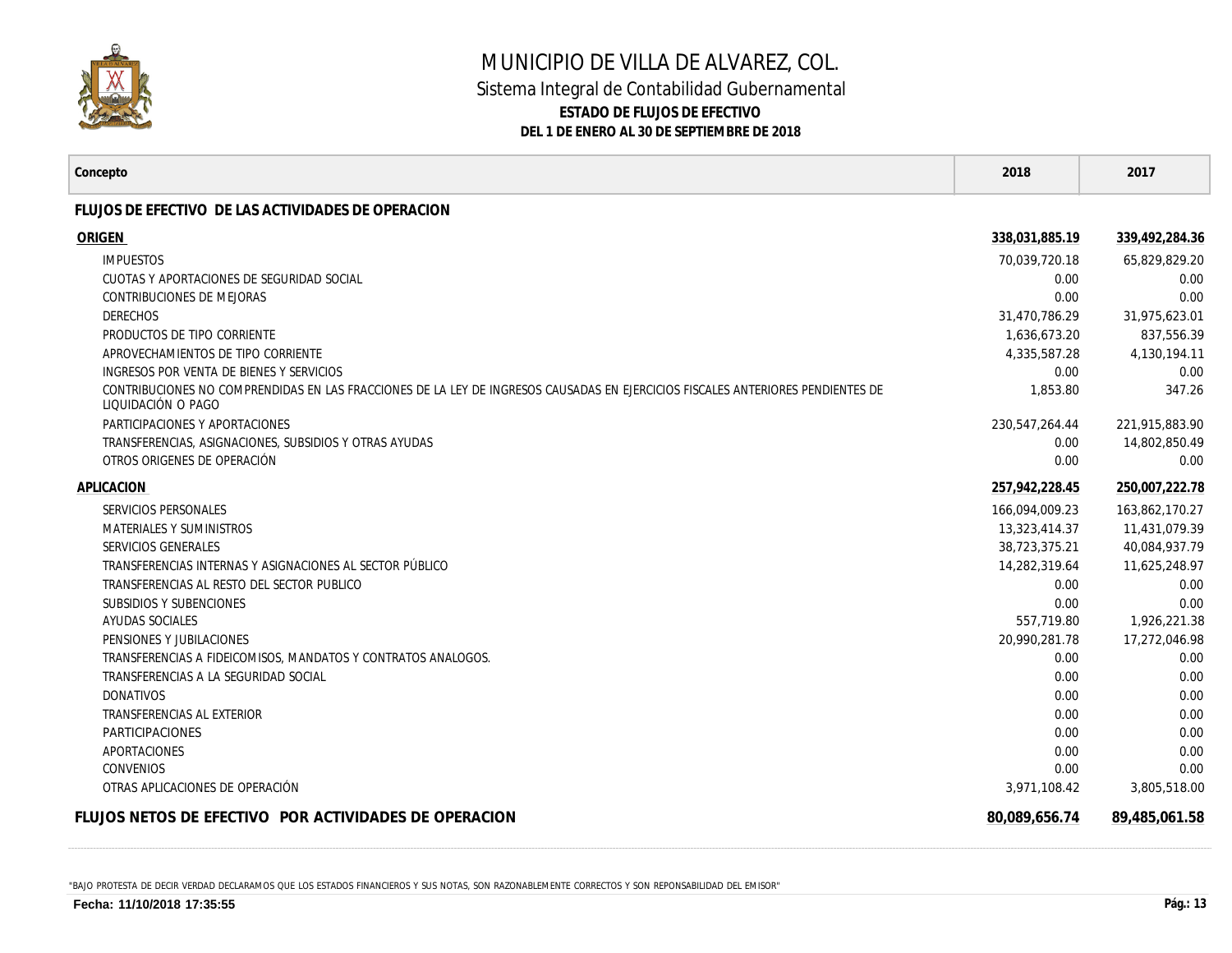

## MUNICIPIO DE VILLA DE ALVAREZ, COL. Sistema Integral de Contabilidad Gubernamental **ESTADO DE FLUJOS DE EFECTIVO DEL 1 DE ENERO AL 30 DE SEPTIEMBRE DE 2018**

| Concepto                                                                                                                                              | 2018           | 2017           |
|-------------------------------------------------------------------------------------------------------------------------------------------------------|----------------|----------------|
| FLUJOS DE EFECTIVO DE LAS ACTIVIDADES DE OPERACION                                                                                                    |                |                |
| ORIGEN                                                                                                                                                | 338.031.885.19 | 339,492,284.36 |
| <b>IMPUESTOS</b>                                                                                                                                      | 70,039,720.18  | 65,829,829.20  |
| CUOTAS Y APORTACIONES DE SEGURIDAD SOCIAL                                                                                                             | 0.00           | 0.00           |
| <b>CONTRIBUCIONES DE MEJORAS</b>                                                                                                                      | 0.00           | 0.00           |
| <b>DERECHOS</b>                                                                                                                                       | 31,470,786.29  | 31,975,623.01  |
| PRODUCTOS DE TIPO CORRIENTE                                                                                                                           | 1,636,673.20   | 837,556.39     |
| APROVECHAMIENTOS DE TIPO CORRIENTE                                                                                                                    | 4,335,587.28   | 4,130,194.11   |
| INGRESOS POR VENTA DE BIENES Y SERVICIOS                                                                                                              | 0.00           | 0.00           |
| CONTRIBUCIONES NO COMPRENDIDAS EN LAS FRACCIONES DE LA LEY DE INGRESOS CAUSADAS EN EJERCICIOS FISCALES ANTERIORES PENDIENTES DE<br>LIQUIDACIÓN O PAGO | 1,853.80       | 347.26         |
| PARTICIPACIONES Y APORTACIONES                                                                                                                        | 230,547,264.44 | 221,915,883.90 |
| TRANSFERENCIAS, ASIGNACIONES, SUBSIDIOS Y OTRAS AYUDAS                                                                                                | 0.00           | 14,802,850.49  |
| OTROS ORIGENES DE OPERACIÓN                                                                                                                           | 0.00           | 0.00           |
| APLICACION                                                                                                                                            | 257.942.228.45 | 250,007,222.78 |
| SERVICIOS PERSONALES                                                                                                                                  | 166.094.009.23 | 163,862,170.27 |
| <b>MATERIALES Y SUMINISTROS</b>                                                                                                                       | 13,323,414.37  | 11,431,079.39  |
| SERVICIOS GENERALES                                                                                                                                   | 38,723,375.21  | 40,084,937.79  |
| TRANSFERENCIAS INTERNAS Y ASIGNACIONES AL SECTOR PÚBLICO                                                                                              | 14,282,319.64  | 11,625,248.97  |
| TRANSFERENCIAS AL RESTO DEL SECTOR PUBLICO                                                                                                            | 0.00           | 0.00           |
| <b>SUBSIDIOS Y SUBENCIONES</b>                                                                                                                        | 0.00           | 0.00           |
| AYUDAS SOCIALES                                                                                                                                       | 557,719.80     | 1,926,221.38   |
| PENSIONES Y JUBILACIONES                                                                                                                              | 20,990,281.78  | 17,272,046.98  |
| TRANSFERENCIAS A FIDEICOMISOS, MANDATOS Y CONTRATOS ANALOGOS.                                                                                         | 0.00           | 0.00           |
| TRANSFERENCIAS A LA SEGURIDAD SOCIAL                                                                                                                  | 0.00           | 0.00           |
| <b>DONATIVOS</b>                                                                                                                                      | 0.00           | 0.00           |
| TRANSFERENCIAS AL EXTERIOR                                                                                                                            | 0.00           | 0.00           |
| <b>PARTICIPACIONES</b>                                                                                                                                | 0.00           | 0.00           |
| APORTACIONES                                                                                                                                          | 0.00           | 0.00           |
| <b>CONVENIOS</b>                                                                                                                                      | 0.00           | 0.00           |
| OTRAS APLICACIONES DE OPERACIÓN                                                                                                                       | 3,971,108.42   | 3,805,518.00   |
| FLUJOS NETOS DE EFECTIVO POR ACTIVIDADES DE OPERACION                                                                                                 | 80,089,656.74  | 89,485,061.58  |

"BAJO PROTESTA DE DECIR VERDAD DECLARAMOS QUE LOS ESTADOS FINANCIEROS Y SUS NOTAS, SON RAZONABLEMENTE CORRECTOS Y SON REPONSABILIDAD DEL EMISOR"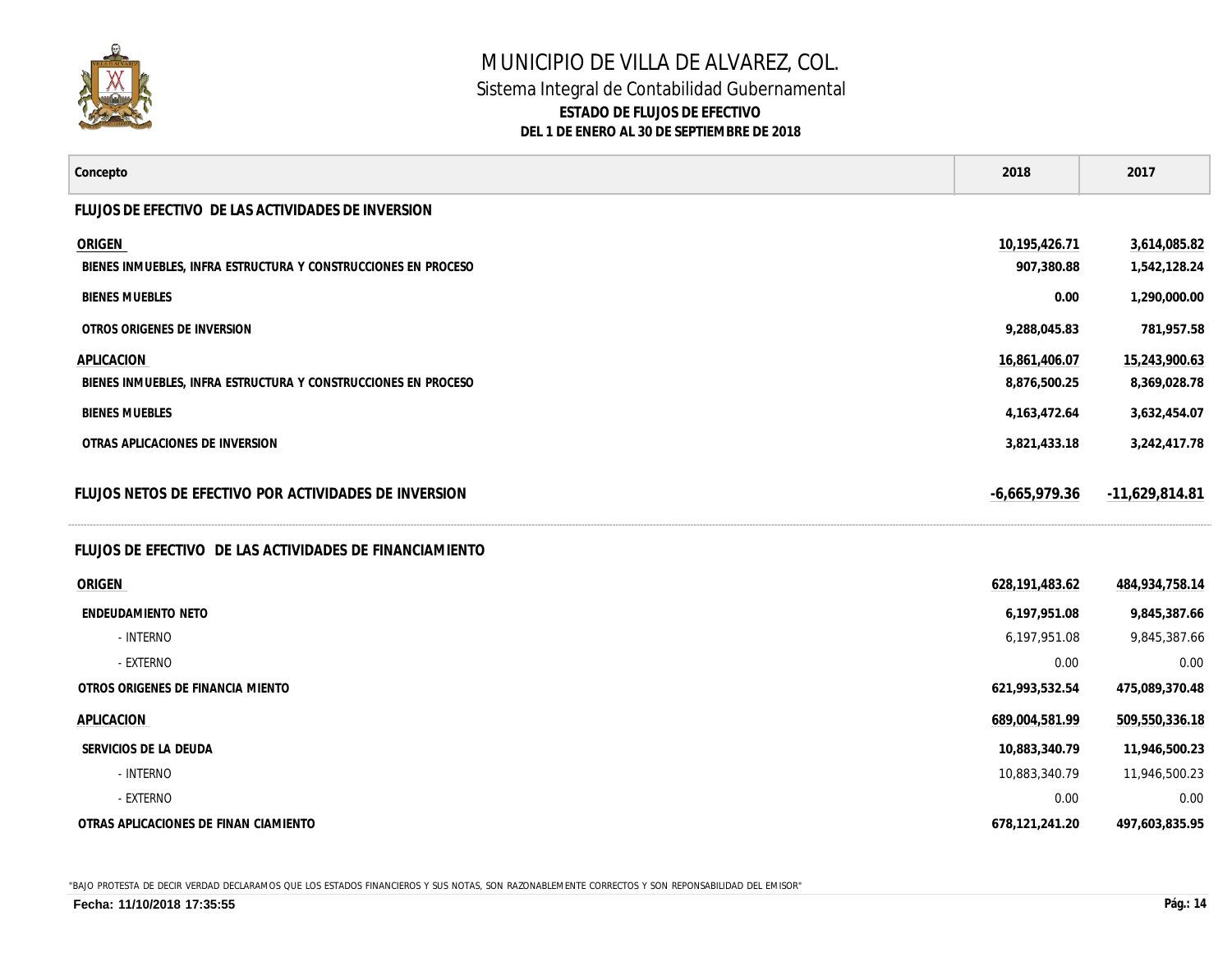

## MUNICIPIO DE VILLA DE ALVAREZ, COL. Sistema Integral de Contabilidad Gubernamental **ESTADO DE FLUJOS DE EFECTIVO DEL 1 DE ENERO AL 30 DE SEPTIEMBRE DE 2018**

| Concepto                                                                        | 2018                          | 2017                          |
|---------------------------------------------------------------------------------|-------------------------------|-------------------------------|
| FLUJOS DE EFECTIVO DE LAS ACTIVIDADES DE INVERSION                              |                               |                               |
| <b>ORIGEN</b><br>BIENES INMUEBLES, INFRA ESTRUCTURA Y CONSTRUCCIONES EN PROCESO | 10,195,426.71<br>907,380.88   | 3,614,085.82<br>1,542,128.24  |
| <b>BIENES MUEBLES</b>                                                           | 0.00                          | 1,290,000.00                  |
| OTROS ORIGENES DE INVERSION                                                     | 9,288,045.83                  | 781,957.58                    |
| APLICACION<br>BIENES INMUEBLES, INFRA ESTRUCTURA Y CONSTRUCCIONES EN PROCESO    | 16,861,406.07<br>8,876,500.25 | 15,243,900.63<br>8,369,028.78 |
| <b>BIENES MUEBLES</b>                                                           | 4, 163, 472. 64               | 3,632,454.07                  |
| OTRAS APLICACIONES DE INVERSION                                                 | 3,821,433.18                  | 3,242,417.78                  |
| FLUJOS NETOS DE EFECTIVO POR ACTIVIDADES DE INVERSION                           | $-6,665,979.36$               | $-11,629,814.81$              |
| FLUJOS DE EFECTIVO DE LAS ACTIVIDADES DE FINANCIAMIENTO                         |                               |                               |
| ORIGEN                                                                          | 628,191,483.62                | 484,934,758.14                |
| ENDEUDAMIENTO NETO                                                              | 6,197,951.08                  | 9,845,387.66                  |
| - INTERNO                                                                       | 6,197,951.08                  | 9,845,387.66                  |
| - EXTERNO                                                                       | 0.00                          | 0.00                          |
| OTROS ORIGENES DE FINANCIA MIENTO                                               | 621,993,532.54                | 475,089,370.48                |
| APLICACION                                                                      | 689,004,581.99                | 509,550,336.18                |
| SERVICIOS DE LA DEUDA                                                           | 10,883,340.79                 | 11,946,500.23                 |
| - INTERNO                                                                       | 10,883,340.79                 | 11,946,500.23                 |
| - EXTERNO                                                                       | 0.00                          | 0.00                          |
| OTRAS APLICACIONES DE FINAN CIAMIENTO                                           | 678,121,241.20                | 497,603,835.95                |

"BAJO PROTESTA DE DECIR VERDAD DECLARAMOS QUE LOS ESTADOS FINANCIEROS Y SUS NOTAS, SON RAZONABLEMENTE CORRECTOS Y SON REPONSABILIDAD DEL EMISOR"